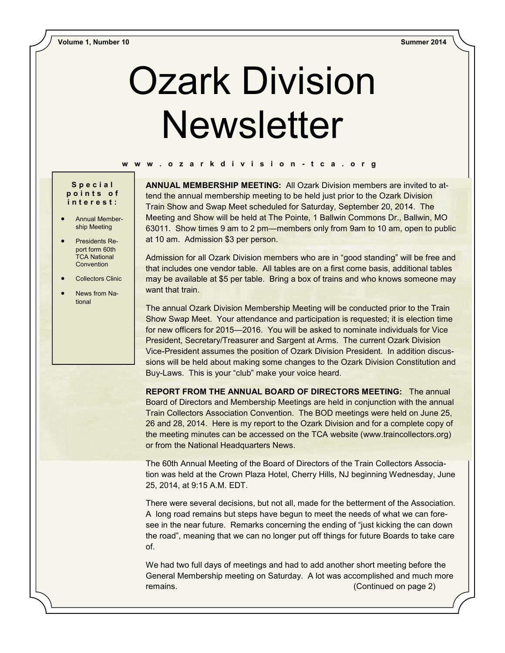# Ozark Division **Newsletter**

### **w w w . o z a r k d i v i s i o n - t c a . o r g**

## **S p e c i a l p o i n t s o f i n t e r e s t :**

- Annual Membership Meeting
- Presidents Report form 60th TCA National **Convention**
- Collectors Clinic
- News from National

**ANNUAL MEMBERSHIP MEETING:** All Ozark Division members are invited to attend the annual membership meeting to be held just prior to the Ozark Division Train Show and Swap Meet scheduled for Saturday, September 20, 2014. The Meeting and Show will be held at The Pointe, 1 Ballwin Commons Dr., Ballwin, MO 63011. Show times 9 am to 2 pm—members only from 9am to 10 am, open to public at 10 am. Admission \$3 per person.

Admission for all Ozark Division members who are in "good standing" will be free and that includes one vendor table. All tables are on a first come basis, additional tables may be available at \$5 per table. Bring a box of trains and who knows someone may want that train.

The annual Ozark Division Membership Meeting will be conducted prior to the Train Show Swap Meet. Your attendance and participation is requested; it is election time for new officers for 2015—2016. You will be asked to nominate individuals for Vice President, Secretary/Treasurer and Sargent at Arms. The current Ozark Division Vice-President assumes the position of Ozark Division President. In addition discussions will be held about making some changes to the Ozark Division Constitution and Buy-Laws. This is your "club" make your voice heard.

**REPORT FROM THE ANNUAL BOARD OF DIRECTORS MEETING:** The annual Board of Directors and Membership Meetings are held in conjunction with the annual Train Collectors Association Convention. The BOD meetings were held on June 25, 26 and 28, 2014. Here is my report to the Ozark Division and for a complete copy of the meeting minutes can be accessed on the TCA website (www.traincollectors.org) or from the National Headquarters News.

The 60th Annual Meeting of the Board of Directors of the Train Collectors Association was held at the Crown Plaza Hotel, Cherry Hills, NJ beginning Wednesday, June 25, 2014, at 9:15 A.M. EDT.

There were several decisions, but not all, made for the betterment of the Association. A long road remains but steps have begun to meet the needs of what we can foresee in the near future. Remarks concerning the ending of "just kicking the can down the road", meaning that we can no longer put off things for future Boards to take care of.

We had two full days of meetings and had to add another short meeting before the General Membership meeting on Saturday. A lot was accomplished and much more remains. (Continued on page 2)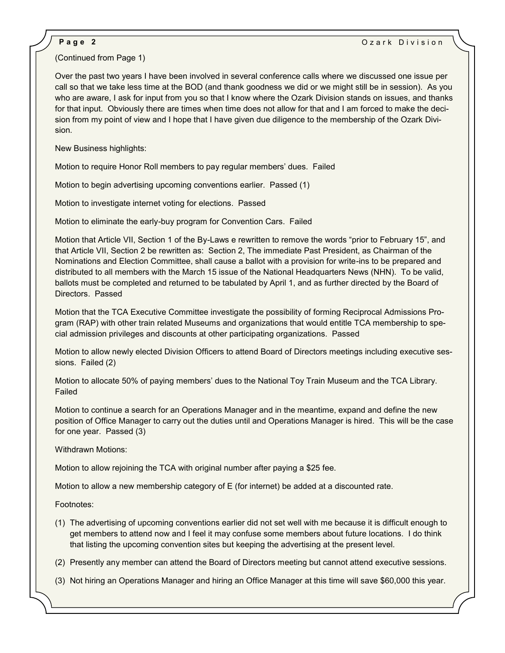## (Continued from Page 1)

Over the past two years I have been involved in several conference calls where we discussed one issue per call so that we take less time at the BOD (and thank goodness we did or we might still be in session). As you who are aware, I ask for input from you so that I know where the Ozark Division stands on issues, and thanks for that input. Obviously there are times when time does not allow for that and I am forced to make the decision from my point of view and I hope that I have given due diligence to the membership of the Ozark Division.

New Business highlights:

Motion to require Honor Roll members to pay regular members' dues. Failed

Motion to begin advertising upcoming conventions earlier. Passed (1)

Motion to investigate internet voting for elections. Passed

Motion to eliminate the early-buy program for Convention Cars. Failed

Motion that Article VII, Section 1 of the By-Laws e rewritten to remove the words "prior to February 15", and that Article VII, Section 2 be rewritten as: Section 2, The immediate Past President, as Chairman of the Nominations and Election Committee, shall cause a ballot with a provision for write-ins to be prepared and distributed to all members with the March 15 issue of the National Headquarters News (NHN). To be valid, ballots must be completed and returned to be tabulated by April 1, and as further directed by the Board of Directors. Passed

Motion that the TCA Executive Committee investigate the possibility of forming Reciprocal Admissions Program (RAP) with other train related Museums and organizations that would entitle TCA membership to special admission privileges and discounts at other participating organizations. Passed

Motion to allow newly elected Division Officers to attend Board of Directors meetings including executive sessions. Failed (2)

Motion to allocate 50% of paying members' dues to the National Toy Train Museum and the TCA Library. Failed

Motion to continue a search for an Operations Manager and in the meantime, expand and define the new position of Office Manager to carry out the duties until and Operations Manager is hired. This will be the case for one year. Passed (3)

Withdrawn Motions:

Motion to allow rejoining the TCA with original number after paying a \$25 fee.

Motion to allow a new membership category of E (for internet) be added at a discounted rate.

Footnotes:

- (1) The advertising of upcoming conventions earlier did not set well with me because it is difficult enough to get members to attend now and I feel it may confuse some members about future locations. I do think that listing the upcoming convention sites but keeping the advertising at the present level.
- (2) Presently any member can attend the Board of Directors meeting but cannot attend executive sessions.
- (3) Not hiring an Operations Manager and hiring an Office Manager at this time will save \$60,000 this year.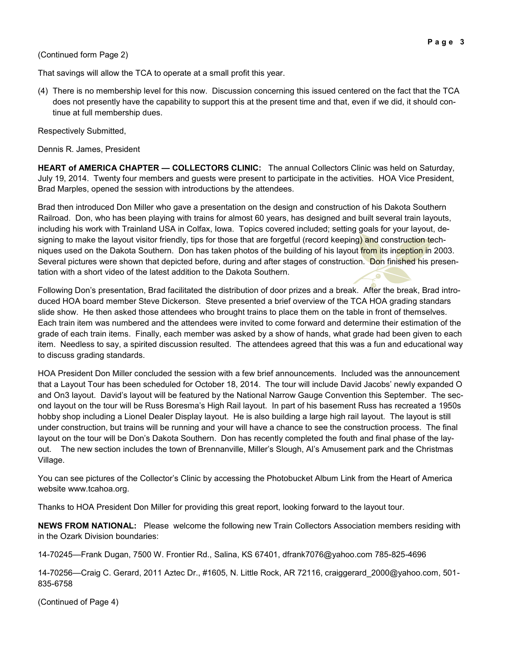## (Continued form Page 2)

That savings will allow the TCA to operate at a small profit this year.

(4) There is no membership level for this now. Discussion concerning this issued centered on the fact that the TCA does not presently have the capability to support this at the present time and that, even if we did, it should continue at full membership dues.

Respectively Submitted,

Dennis R. James, President

**HEART of AMERICA CHAPTER — COLLECTORS CLINIC:** The annual Collectors Clinic was held on Saturday, July 19, 2014. Twenty four members and guests were present to participate in the activities. HOA Vice President, Brad Marples, opened the session with introductions by the attendees.

Brad then introduced Don Miller who gave a presentation on the design and construction of his Dakota Southern Railroad. Don, who has been playing with trains for almost 60 years, has designed and built several train layouts, including his work with Trainland USA in Colfax, Iowa. Topics covered included; setting goals for your layout, designing to make the layout visitor friendly, tips for those that are forgetful (record keeping) and construction techniques used on the Dakota Southern. Don has taken photos of the building of his layout from its inception in 2003. Several pictures were shown that depicted before, during and after stages of construction. Don finished his presentation with a short video of the latest addition to the Dakota Southern.

Following Don's presentation, Brad facilitated the distribution of door prizes and a break. After the break, Brad introduced HOA board member Steve Dickerson. Steve presented a brief overview of the TCA HOA grading standars slide show. He then asked those attendees who brought trains to place them on the table in front of themselves. Each train item was numbered and the attendees were invited to come forward and determine their estimation of the grade of each train items. Finally, each member was asked by a show of hands, what grade had been given to each item. Needless to say, a spirited discussion resulted. The attendees agreed that this was a fun and educational way to discuss grading standards.

HOA President Don Miller concluded the session with a few brief announcements. Included was the announcement that a Layout Tour has been scheduled for October 18, 2014. The tour will include David Jacobs' newly expanded O and On3 layout. David's layout will be featured by the National Narrow Gauge Convention this September. The second layout on the tour will be Russ Boresma's High Rail layout. In part of his basement Russ has recreated a 1950s hobby shop including a Lionel Dealer Display layout. He is also building a large high rail layout. The layout is still under construction, but trains will be running and your will have a chance to see the construction process. The final layout on the tour will be Don's Dakota Southern. Don has recently completed the fouth and final phase of the layout. The new section includes the town of Brennanville, Miller's Slough, Al's Amusement park and the Christmas Village.

You can see pictures of the Collector's Clinic by accessing the Photobucket Album Link from the Heart of America website www.tcahoa.org.

Thanks to HOA President Don Miller for providing this great report, looking forward to the layout tour.

**NEWS FROM NATIONAL:** Please welcome the following new Train Collectors Association members residing with in the Ozark Division boundaries:

14-70245—Frank Dugan, 7500 W. Frontier Rd., Salina, KS 67401, dfrank7076@yahoo.com 785-825-4696

14-70256—Craig C. Gerard, 2011 Aztec Dr., #1605, N. Little Rock, AR 72116, craiggerard\_2000@yahoo.com, 501- 835-6758

(Continued of Page 4)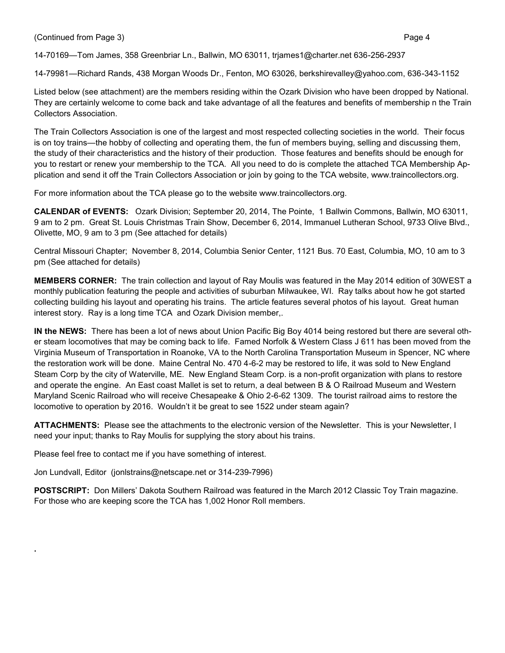(Continued from Page 3) Page 4

14-70169—Tom James, 358 Greenbriar Ln., Ballwin, MO 63011, trjames1@charter.net 636-256-2937

14-79981—Richard Rands, 438 Morgan Woods Dr., Fenton, MO 63026, berkshirevalley@yahoo.com, 636-343-1152

Listed below (see attachment) are the members residing within the Ozark Division who have been dropped by National. They are certainly welcome to come back and take advantage of all the features and benefits of membership n the Train Collectors Association.

The Train Collectors Association is one of the largest and most respected collecting societies in the world. Their focus is on toy trains—the hobby of collecting and operating them, the fun of members buying, selling and discussing them, the study of their characteristics and the history of their production. Those features and benefits should be enough for you to restart or renew your membership to the TCA. All you need to do is complete the attached TCA Membership Application and send it off the Train Collectors Association or join by going to the TCA website, www.traincollectors.org.

For more information about the TCA please go to the website www.traincollectors.org.

**CALENDAR of EVENTS:** Ozark Division; September 20, 2014, The Pointe, 1 Ballwin Commons, Ballwin, MO 63011, 9 am to 2 pm. Great St. Louis Christmas Train Show, December 6, 2014, Immanuel Lutheran School, 9733 Olive Blvd., Olivette, MO, 9 am to 3 pm (See attached for details)

Central Missouri Chapter; November 8, 2014, Columbia Senior Center, 1121 Bus. 70 East, Columbia, MO, 10 am to 3 pm (See attached for details)

**MEMBERS CORNER:** The train collection and layout of Ray Moulis was featured in the May 2014 edition of 30WEST a monthly publication featuring the people and activities of suburban Milwaukee, WI. Ray talks about how he got started collecting building his layout and operating his trains. The article features several photos of his layout. Great human interest story. Ray is a long time TCA and Ozark Division member,.

**IN the NEWS:** There has been a lot of news about Union Pacific Big Boy 4014 being restored but there are several other steam locomotives that may be coming back to life. Famed Norfolk & Western Class J 611 has been moved from the Virginia Museum of Transportation in Roanoke, VA to the North Carolina Transportation Museum in Spencer, NC where the restoration work will be done. Maine Central No. 470 4-6-2 may be restored to life, it was sold to New England Steam Corp by the city of Waterville, ME. New England Steam Corp. is a non-profit organization with plans to restore and operate the engine. An East coast Mallet is set to return, a deal between B & O Railroad Museum and Western Maryland Scenic Railroad who will receive Chesapeake & Ohio 2-6-62 1309. The tourist railroad aims to restore the locomotive to operation by 2016. Wouldn't it be great to see 1522 under steam again?

**ATTACHMENTS:** Please see the attachments to the electronic version of the Newsletter. This is your Newsletter, I need your input; thanks to Ray Moulis for supplying the story about his trains.

Please feel free to contact me if you have something of interest.

**.**

Jon Lundvall, Editor (jonlstrains@netscape.net or 314-239-7996)

**POSTSCRIPT:** Don Millers' Dakota Southern Railroad was featured in the March 2012 Classic Toy Train magazine. For those who are keeping score the TCA has 1,002 Honor Roll members.